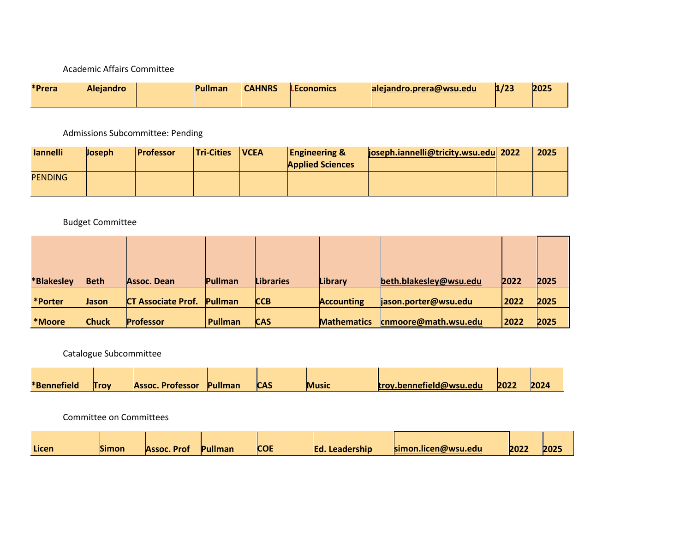## Academic Affairs Committee

| <b>*Prera</b> | <b>Aleiandro</b> |  | Pullman | <b>CAHNRS</b> | <b>LEconomics</b> | aleiandro.prera@wsu.edu | 1/23 | 2025 |
|---------------|------------------|--|---------|---------------|-------------------|-------------------------|------|------|
|---------------|------------------|--|---------|---------------|-------------------|-------------------------|------|------|

Admissions Subcommittee: Pending

| <b>lannelli</b> | <b>Joseph</b> | <b>Professor</b> | <b>Tri-Cities</b> | <b>IVCEA</b> | <b>Engineering &amp;</b><br><b>Applied Sciences</b> | joseph.iannelli@tricity.wsu.edu 2022 | 2025 |
|-----------------|---------------|------------------|-------------------|--------------|-----------------------------------------------------|--------------------------------------|------|
| <b>PENDING</b>  |               |                  |                   |              |                                                     |                                      |      |

## Budget Committee

| *Blakesley | <b>Beth</b>  | Assoc. Dean               | Pullman        | <b>Libraries</b> | Library            | beth.blakesley@wsu.edu | 2022 | 2025 |
|------------|--------------|---------------------------|----------------|------------------|--------------------|------------------------|------|------|
| *Porter    | <b>Jason</b> | <b>CT Associate Prof.</b> | <b>Pullman</b> | <b>CCB</b>       | <b>Accounting</b>  | jason.porter@wsu.edu   | 2022 | 2025 |
| *Moore     | <b>Chuck</b> | <b>Professor</b>          | Pullman        | CAS              | <b>Mathematics</b> | cnmoore@math.wsu.edu   | 2022 | 2025 |

## Catalogue Subcommittee

| *Bennefield | <b>Trov</b> | <b>Assoc. Professor</b> | Pullman | <b>CAS</b> | <b>Music</b> | troy.bennefield@wsu.edu | 2022 | 2024 |
|-------------|-------------|-------------------------|---------|------------|--------------|-------------------------|------|------|

Committee on Committees

| Licen | Simon | Assoc. Prof | Pullman | <b>COE</b> | Ed. Leadership | simon.licen@wsu.edu | 2022 | 2025 |
|-------|-------|-------------|---------|------------|----------------|---------------------|------|------|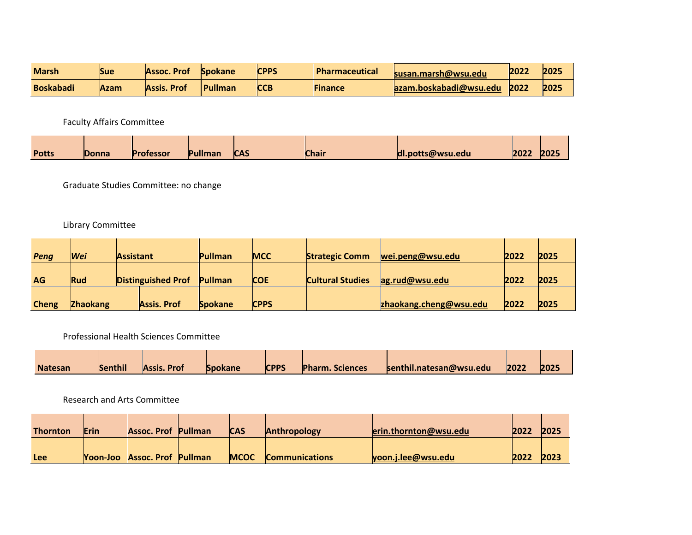| <b>Marsh</b>     | Sue  | Assoc. Prof | <b>Spokane</b> | <b>CPPS</b> | <b>Pharmaceutical</b> | susan.marsh@wsu.edu       | 2022 | 2025 |
|------------------|------|-------------|----------------|-------------|-----------------------|---------------------------|------|------|
| <b>Boskabadi</b> | Azam | Assis. Prof | <b>Pullman</b> | <b>CCB</b>  | <b>Finance</b>        | $a$ zam.boskabadi@wsu.edu | 2022 | 2025 |

Faculty Affairs Committee

|              |              |                  |         | <b>CAS</b> |              |                  |      |      |
|--------------|--------------|------------------|---------|------------|--------------|------------------|------|------|
| <b>Potts</b> | <b>Donna</b> | <b>Professor</b> | Pullmar |            | <b>Chair</b> | dl.potts@wsu.edu | 2022 | 2025 |

Graduate Studies Committee: no change

## Library Committee

| Peng         | Wei             | <b>Assistant</b>          |                    | Pullman        | <b>MCC</b>  | <b>Strategic Comm</b>   | wei.peng@wsu.edu       | 2022 | 2025 |
|--------------|-----------------|---------------------------|--------------------|----------------|-------------|-------------------------|------------------------|------|------|
| <b>AG</b>    | Rud             | <b>Distinguished Prof</b> |                    | Pullman        | <b>COE</b>  | <b>Cultural Studies</b> | ag.rud@wsu.edu         | 2022 | 2025 |
| <b>Cheng</b> | <b>Zhaokang</b> |                           | <b>Assis. Prof</b> | <b>Spokane</b> | <b>CPPS</b> |                         | zhaokang.cheng@wsu.edu | 2022 | 2025 |

Professional Health Sciences Committee

| <b>Natesan</b> | <b>Senthil</b> | <b>Assis. Prof</b> | <b>Spokane</b> | <b>CPPS</b> | <b>Pharm. Sciences</b> | senthil.natesan@wsu.edu | 2022 | 202! |
|----------------|----------------|--------------------|----------------|-------------|------------------------|-------------------------|------|------|

Research and Arts Committee

| <b>Thornton</b> | Erin | <b>Assoc. Prof Pullman</b>          | <b>CAS</b>  | <b>Anthropology</b>   | erin.thornton@wsu.edu | 2022 | 2025          |
|-----------------|------|-------------------------------------|-------------|-----------------------|-----------------------|------|---------------|
| <b>Lee</b>      |      | <b>Yoon-Joo Assoc. Prof Pullman</b> | <b>MCOC</b> | <b>Communications</b> | yoon.j.lee@wsu.edu    | 2022 | $202^{\circ}$ |